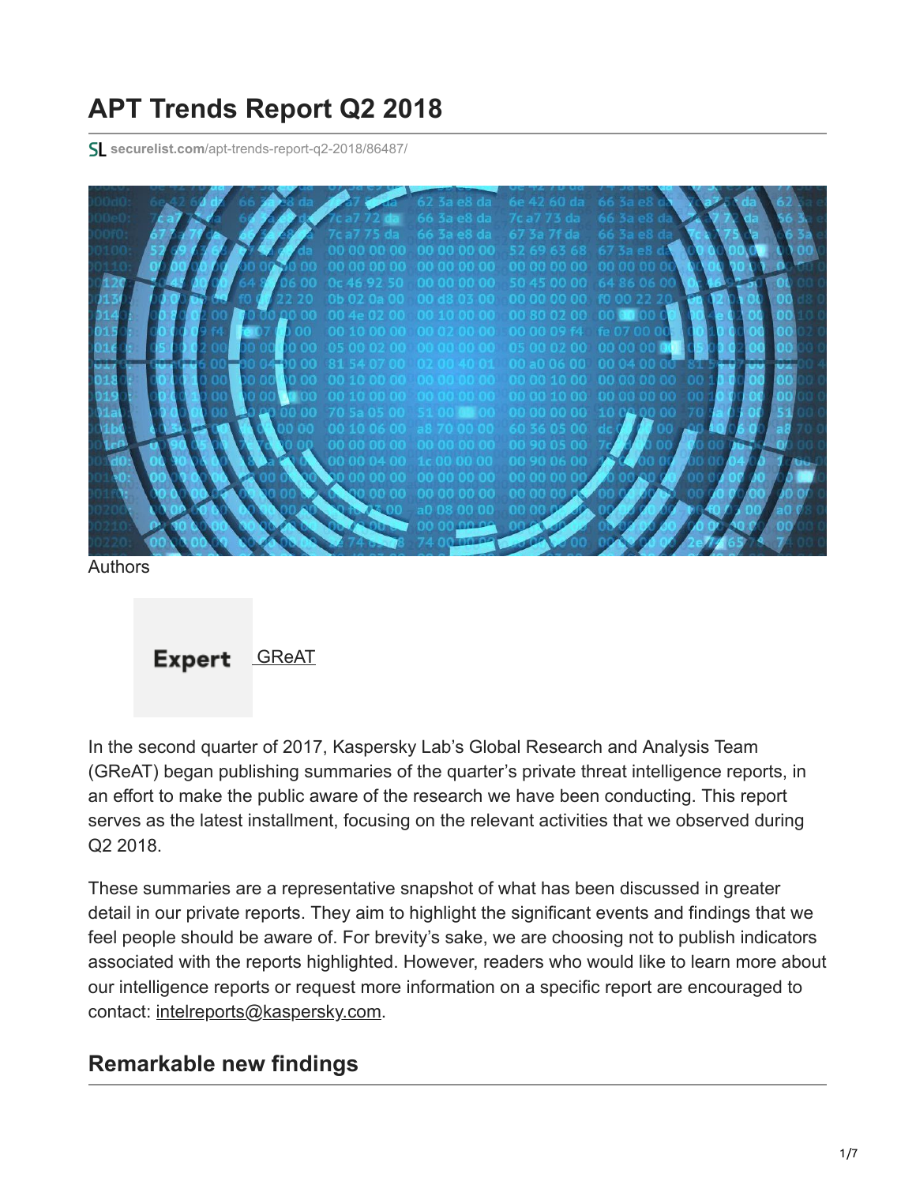# **APT Trends Report Q2 2018**

**securelist.com**[/apt-trends-report-q2-2018/86487/](https://securelist.com/apt-trends-report-q2-2018/86487/)



Authors



In the second quarter of 2017, Kaspersky Lab's Global Research and Analysis Team (GReAT) began publishing summaries of the quarter's private threat intelligence reports, in an effort to make the public aware of the research we have been conducting. This report serves as the latest installment, focusing on the relevant activities that we observed during Q2 2018.

These summaries are a representative snapshot of what has been discussed in greater detail in our private reports. They aim to highlight the significant events and findings that we feel people should be aware of. For brevity's sake, we are choosing not to publish indicators associated with the reports highlighted. However, readers who would like to learn more about our intelligence reports or request more information on a specific report are encouraged to contact: [intelreports@kaspersky.com](http://10.10.0.46/mailto:intelreports@kaspersky.com).

## **Remarkable new findings**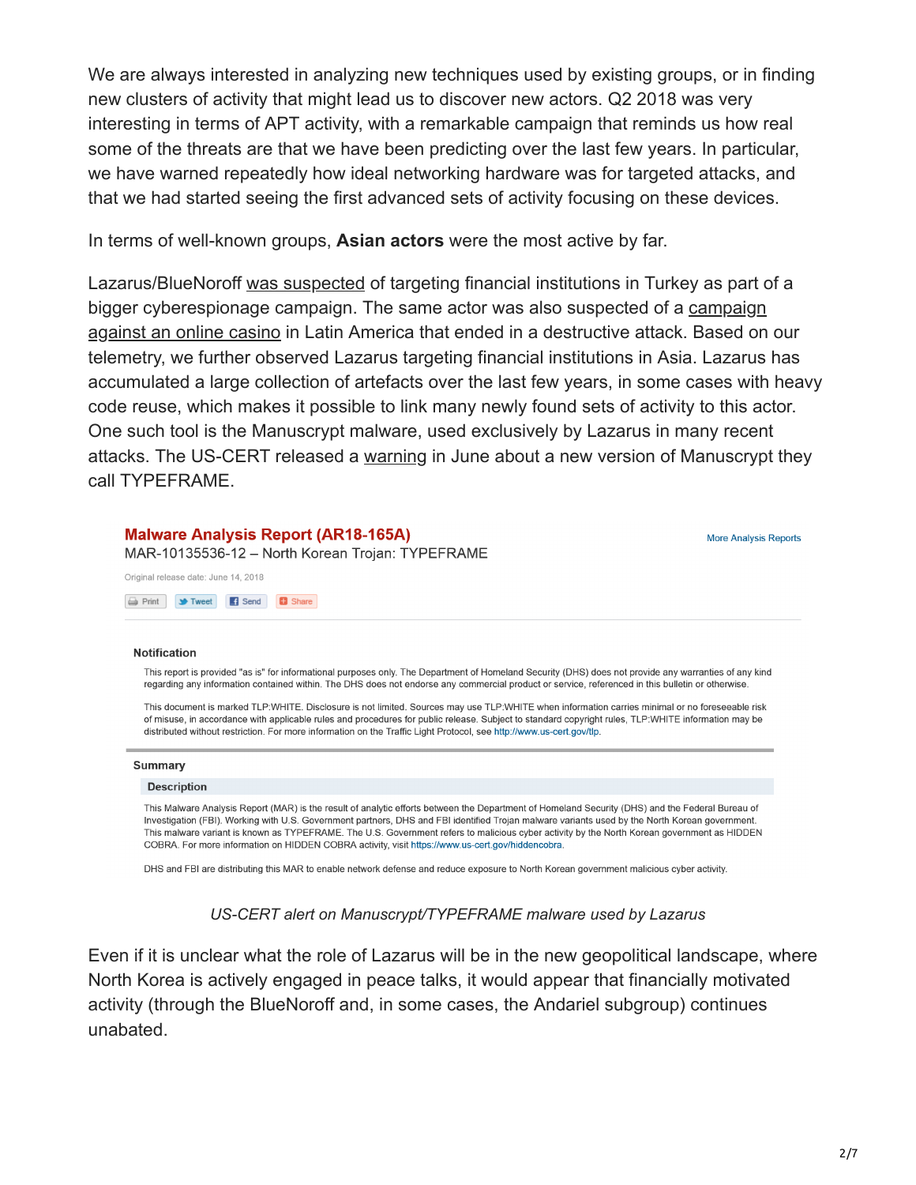We are always interested in analyzing new techniques used by existing groups, or in finding new clusters of activity that might lead us to discover new actors. Q2 2018 was very interesting in terms of APT activity, with a remarkable campaign that reminds us how real some of the threats are that we have been predicting over the last few years. In particular, we have warned repeatedly how ideal networking hardware was for targeted attacks, and that we had started seeing the first advanced sets of activity focusing on these devices.

In terms of well-known groups, **Asian actors** were the most active by far.

Lazarus/BlueNoroff [was suspected](https://securingtomorrow.mcafee.com/mcafee-labs/hidden-cobra-targets-turkish-financial-sector-new-bankshot-implant/) of targeting financial institutions in Turkey as part of a [bigger cyberespionage campaign. The same actor was also suspected of a campaign](https://www.welivesecurity.com/2018/04/03/lazarus-killdisk-central-american-casino/) against an online casino in Latin America that ended in a destructive attack. Based on our telemetry, we further observed Lazarus targeting financial institutions in Asia. Lazarus has accumulated a large collection of artefacts over the last few years, in some cases with heavy code reuse, which makes it possible to link many newly found sets of activity to this actor. One such tool is the Manuscrypt malware, used exclusively by Lazarus in many recent attacks. The US-CERT released a [warning](https://www.us-cert.gov/ncas/analysis-reports/AR18-165A) in June about a new version of Manuscrypt they call TYPEFRAME.

### **Malware Analysis Report (AR18-165A)**

MAR-10135536-12 - North Korean Trojan: TYPEFRAME

Original release date: June 14, 2018

Print **Struct** Send **B** Share

### **Notification**

This report is provided "as is" for informational purposes only. The Department of Homeland Security (DHS) does not provide any warranties of any kind regarding any information contained within. The DHS does not endorse any commercial product or service, referenced in this bulletin or otherwise.

This document is marked TLP:WHITE. Disclosure is not limited. Sources may use TLP:WHITE when information carries minimal or no foreseeable risk of misuse, in accordance with applicable rules and procedures for public release. Subject to standard copyright rules, TLP:WHITE information may be distributed without restriction. For more information on the Traffic Light Protocol, see http://www.us-cert.gov/tlp.

#### **Summary**

#### **Description**

This Malware Analysis Report (MAR) is the result of analytic efforts between the Department of Homeland Security (DHS) and the Federal Bureau of Investigation (FBI). Working with U.S. Government partners, DHS and FBI identified Trojan malware variants used by the North Korean government. This malware variant is known as TYPEFRAME. The U.S. Government refers to malicious cyber activity by the North Korean government as HIDDEN COBRA. For more information on HIDDEN COBRA activity, visit https://www.us-cert.gov/hiddencobra.

DHS and FBI are distributing this MAR to enable network defense and reduce exposure to North Korean government malicious cyber activity.

### *US-CERT alert on Manuscrypt/TYPEFRAME malware used by Lazarus*

Even if it is unclear what the role of Lazarus will be in the new geopolitical landscape, where North Korea is actively engaged in peace talks, it would appear that financially motivated activity (through the BlueNoroff and, in some cases, the Andariel subgroup) continues unabated.

**More Analysis Reports**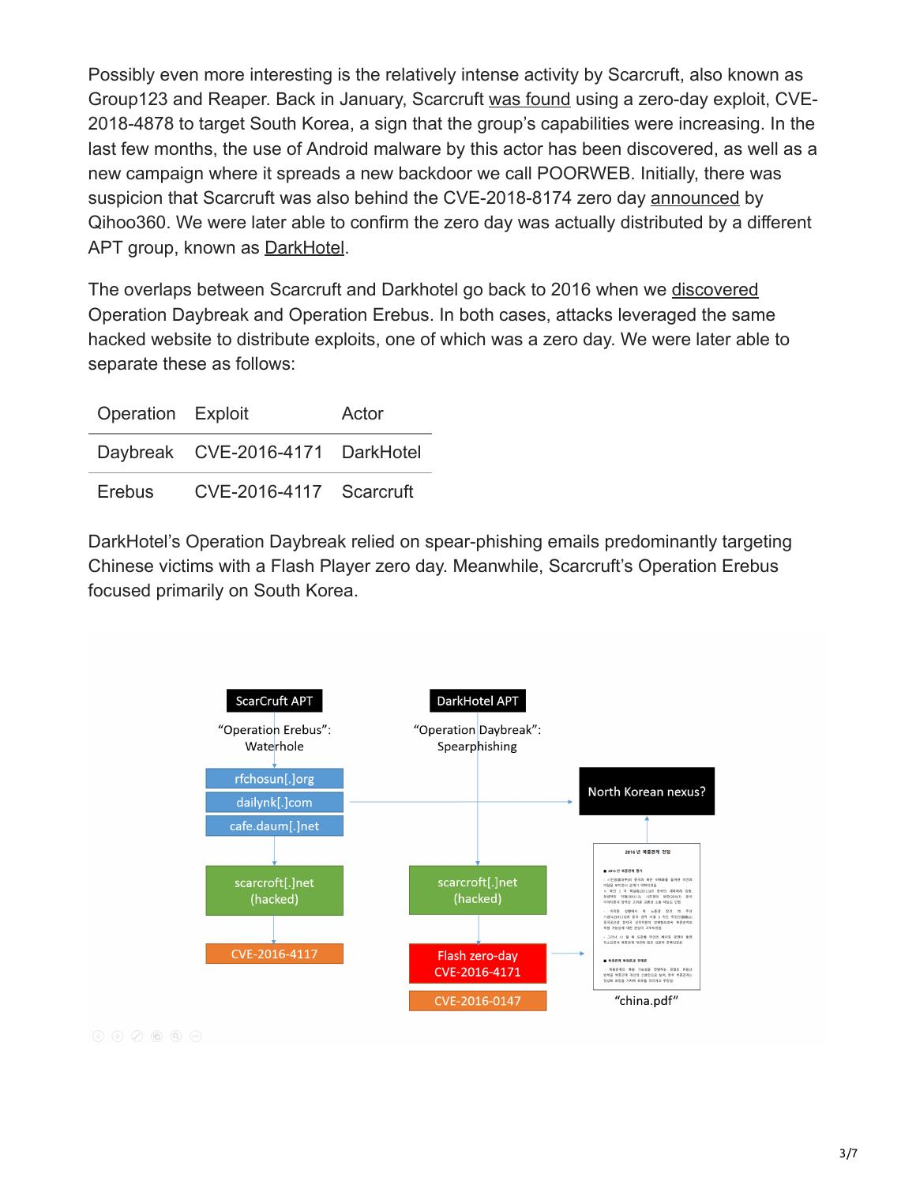Possibly even more interesting is the relatively intense activity by Scarcruft, also known as Group123 and Reaper. Back in January, Scarcruft [was found](https://www.krcert.or.kr/data/secNoticeView.do?bulletin_writing_sequence=26998) using a zero-day exploit, CVE-2018-4878 to target South Korea, a sign that the group's capabilities were increasing. In the last few months, the use of Android malware by this actor has been discovered, as well as a new campaign where it spreads a new backdoor we call POORWEB. Initially, there was suspicion that Scarcruft was also behind the CVE-2018-8174 zero day [announced](http://blogs.360.cn/blog/cve-2018-8174-en/) by Qihoo360. We were later able to confirm the zero day was actually distributed by a different APT group, known as [DarkHotel](https://securelist.com/the-darkhotel-apt/66779/).

The overlaps between Scarcruft and Darkhotel go back to 2016 when we [discovered](https://securelist.com/cve-2016-4171-adobe-flash-zero-day-used-in-targeted-attacks/75082/) Operation Daybreak and Operation Erebus. In both cases, attacks leveraged the same hacked website to distribute exploits, one of which was a zero day. We were later able to separate these as follows:

| Operation Exploit |                                  | Actor |
|-------------------|----------------------------------|-------|
|                   | Daybreak CVE-2016-4171 DarkHotel |       |
| Erebus            | CVE-2016-4117 Scarcruft          |       |

DarkHotel's Operation Daybreak relied on spear-phishing emails predominantly targeting Chinese victims with a Flash Player zero day. Meanwhile, Scarcruft's Operation Erebus focused primarily on South Korea.



 $\textcircled{4} \quad \textcircled{5} \quad \textcircled{7} \quad \textcircled{8} \quad \textcircled{9} \quad \textcircled{9}$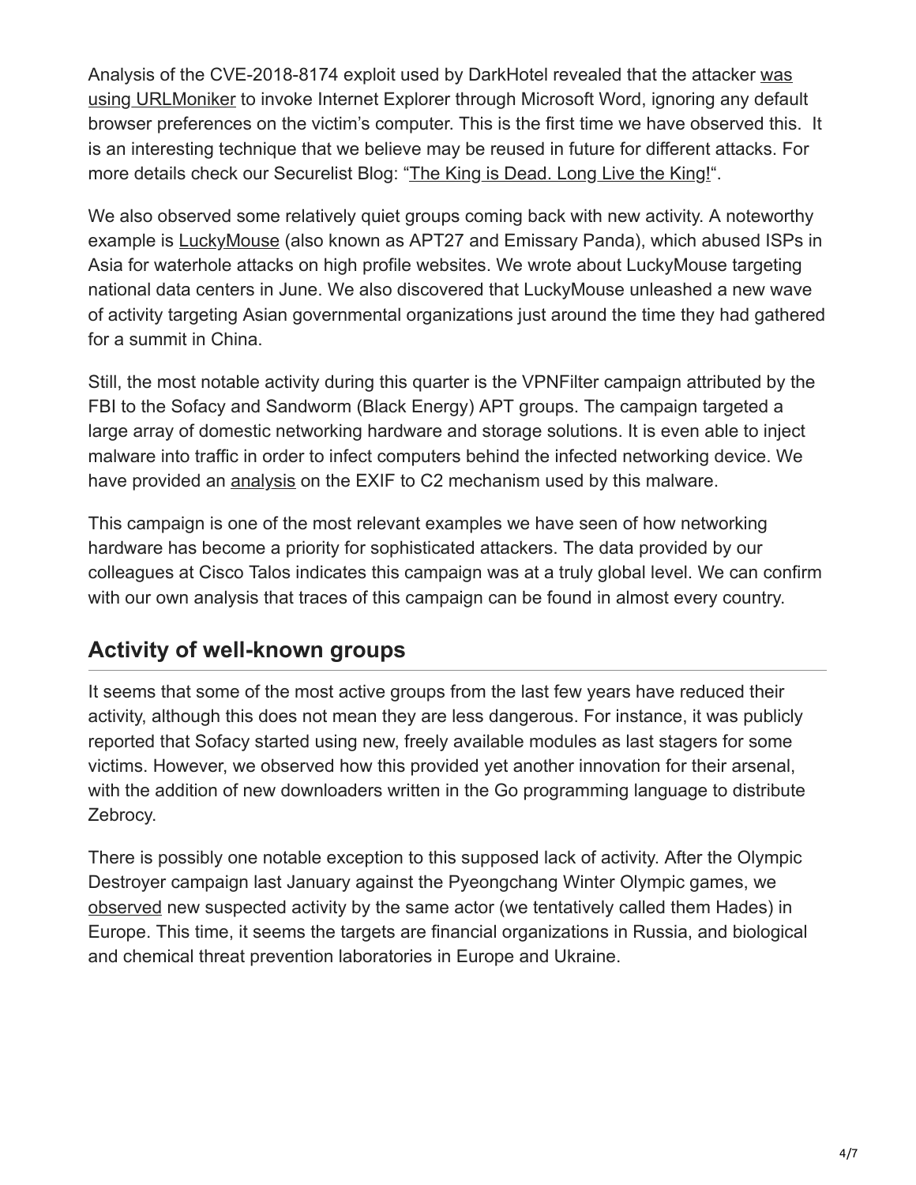Analysis of the CVE-2018-8174 exploit used by DarkHotel revealed that the attacker was [using URLMoniker to invoke Internet Explorer through Microsoft Word, ignoring any defau](https://securelist.com/root-cause-analysis-of-cve-2018-8174/85486/)lt browser preferences on the victim's computer. This is the first time we have observed this. It is an interesting technique that we believe may be reused in future for different attacks. For more details check our Securelist Blog: "[The King is Dead. Long Live the King!"](https://securelist.com/root-cause-analysis-of-cve-2018-8174/85486/).

We also observed some relatively quiet groups coming back with new activity. A noteworthy example is [LuckyMouse](https://securelist.com/luckymouse-hits-national-data-center/86083/) (also known as APT27 and Emissary Panda), which abused ISPs in Asia for waterhole attacks on high profile websites. We wrote about LuckyMouse targeting national data centers in June. We also discovered that LuckyMouse unleashed a new wave of activity targeting Asian governmental organizations just around the time they had gathered for a summit in China.

Still, the most notable activity during this quarter is the VPNFilter campaign attributed by the FBI to the Sofacy and Sandworm (Black Energy) APT groups. The campaign targeted a large array of domestic networking hardware and storage solutions. It is even able to inject malware into traffic in order to infect computers behind the infected networking device. We have provided an [analysis](https://securelist.com/vpnfilter-exif-to-c2-mechanism-analysed/85721/) on the EXIF to C2 mechanism used by this malware.

This campaign is one of the most relevant examples we have seen of how networking hardware has become a priority for sophisticated attackers. The data provided by our colleagues at Cisco Talos indicates this campaign was at a truly global level. We can confirm with our own analysis that traces of this campaign can be found in almost every country.

## **Activity of well-known groups**

It seems that some of the most active groups from the last few years have reduced their activity, although this does not mean they are less dangerous. For instance, it was publicly reported that Sofacy started using new, freely available modules as last stagers for some victims. However, we observed how this provided yet another innovation for their arsenal, with the addition of new downloaders written in the Go programming language to distribute Zebrocy.

There is possibly one notable exception to this supposed lack of activity. After the Olympic Destroyer campaign last January against the Pyeongchang Winter Olympic games, we [observed](https://securelist.com/olympic-destroyer-is-still-alive/86169/) new suspected activity by the same actor (we tentatively called them Hades) in Europe. This time, it seems the targets are financial organizations in Russia, and biological and chemical threat prevention laboratories in Europe and Ukraine.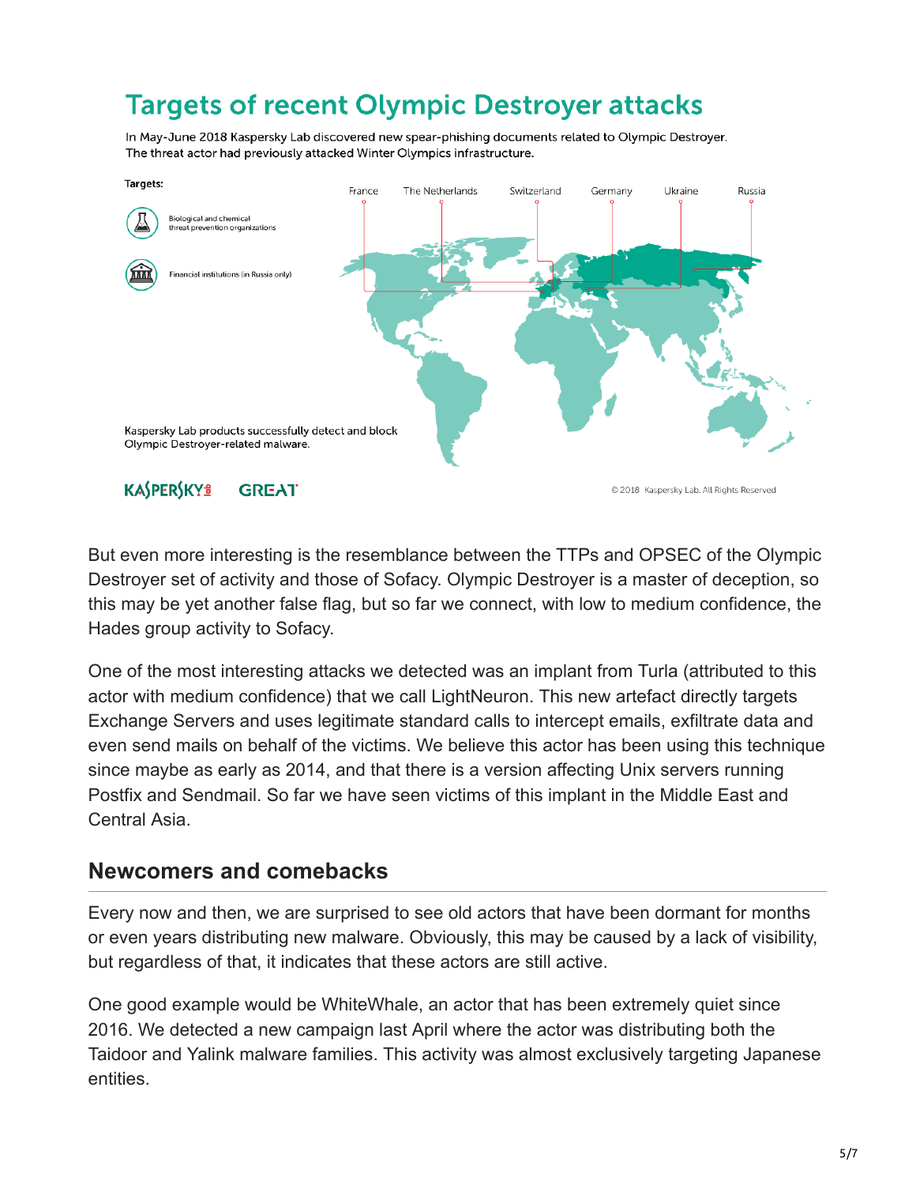# **Targets of recent Olympic Destroyer attacks**

In May-June 2018 Kaspersky Lab discovered new spear-phishing documents related to Olympic Destroyer. The threat actor had previously attacked Winter Olympics infrastructure.



But even more interesting is the resemblance between the TTPs and OPSEC of the Olympic Destroyer set of activity and those of Sofacy. Olympic Destroyer is a master of deception, so this may be yet another false flag, but so far we connect, with low to medium confidence, the Hades group activity to Sofacy.

One of the most interesting attacks we detected was an implant from Turla (attributed to this actor with medium confidence) that we call LightNeuron. This new artefact directly targets Exchange Servers and uses legitimate standard calls to intercept emails, exfiltrate data and even send mails on behalf of the victims. We believe this actor has been using this technique since maybe as early as 2014, and that there is a version affecting Unix servers running Postfix and Sendmail. So far we have seen victims of this implant in the Middle East and Central Asia.

### **Newcomers and comebacks**

Every now and then, we are surprised to see old actors that have been dormant for months or even years distributing new malware. Obviously, this may be caused by a lack of visibility, but regardless of that, it indicates that these actors are still active.

One good example would be WhiteWhale, an actor that has been extremely quiet since 2016. We detected a new campaign last April where the actor was distributing both the Taidoor and Yalink malware families. This activity was almost exclusively targeting Japanese entities.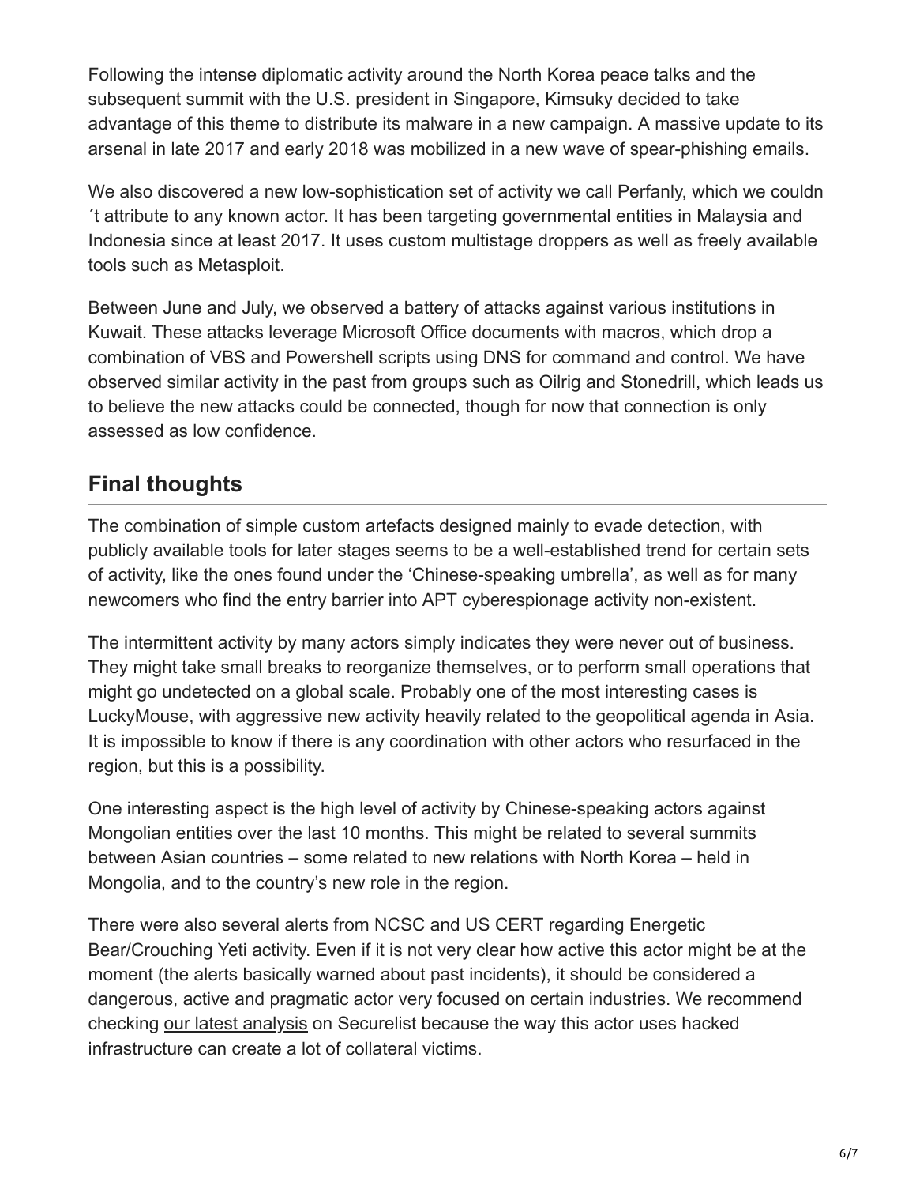Following the intense diplomatic activity around the North Korea peace talks and the subsequent summit with the U.S. president in Singapore, Kimsuky decided to take advantage of this theme to distribute its malware in a new campaign. A massive update to its arsenal in late 2017 and early 2018 was mobilized in a new wave of spear-phishing emails.

We also discovered a new low-sophistication set of activity we call Perfanly, which we couldn ´t attribute to any known actor. It has been targeting governmental entities in Malaysia and Indonesia since at least 2017. It uses custom multistage droppers as well as freely available tools such as Metasploit.

Between June and July, we observed a battery of attacks against various institutions in Kuwait. These attacks leverage Microsoft Office documents with macros, which drop a combination of VBS and Powershell scripts using DNS for command and control. We have observed similar activity in the past from groups such as Oilrig and Stonedrill, which leads us to believe the new attacks could be connected, though for now that connection is only assessed as low confidence.

## **Final thoughts**

The combination of simple custom artefacts designed mainly to evade detection, with publicly available tools for later stages seems to be a well-established trend for certain sets of activity, like the ones found under the 'Chinese-speaking umbrella', as well as for many newcomers who find the entry barrier into APT cyberespionage activity non-existent.

The intermittent activity by many actors simply indicates they were never out of business. They might take small breaks to reorganize themselves, or to perform small operations that might go undetected on a global scale. Probably one of the most interesting cases is LuckyMouse, with aggressive new activity heavily related to the geopolitical agenda in Asia. It is impossible to know if there is any coordination with other actors who resurfaced in the region, but this is a possibility.

One interesting aspect is the high level of activity by Chinese-speaking actors against Mongolian entities over the last 10 months. This might be related to several summits between Asian countries – some related to new relations with North Korea – held in Mongolia, and to the country's new role in the region.

There were also several alerts from NCSC and US CERT regarding Energetic Bear/Crouching Yeti activity. Even if it is not very clear how active this actor might be at the moment (the alerts basically warned about past incidents), it should be considered a dangerous, active and pragmatic actor very focused on certain industries. We recommend checking [our latest analysis](https://securelist.com/energetic-bear-crouching-yeti/85345/) on Securelist because the way this actor uses hacked infrastructure can create a lot of collateral victims.